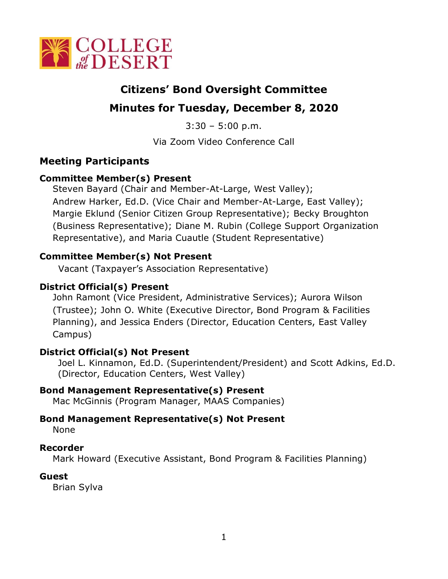

# **Citizens' Bond Oversight Committee**

# **Minutes for Tuesday, December 8, 2020**

 $3:30 - 5:00$  p.m.

Via Zoom Video Conference Call

# **Meeting Participants**

## **Committee Member(s) Present**

Steven Bayard (Chair and Member-At-Large, West Valley); Andrew Harker, Ed.D. (Vice Chair and Member-At-Large, East Valley); Margie Eklund (Senior Citizen Group Representative); Becky Broughton (Business Representative); Diane M. Rubin (College Support Organization Representative), and Maria Cuautle (Student Representative)

# **Committee Member(s) Not Present**

Vacant (Taxpayer's Association Representative)

# **District Official(s) Present**

John Ramont (Vice President, Administrative Services); Aurora Wilson (Trustee); John O. White (Executive Director, Bond Program & Facilities Planning), and Jessica Enders (Director, Education Centers, East Valley Campus)

## **District Official(s) Not Present**

Joel L. Kinnamon, Ed.D. (Superintendent/President) and Scott Adkins, Ed.D. (Director, Education Centers, West Valley)

## **Bond Management Representative(s) Present**

Mac McGinnis (Program Manager, MAAS Companies)

## **Bond Management Representative(s) Not Present**

None

## **Recorder**

Mark Howard (Executive Assistant, Bond Program & Facilities Planning)

#### **Guest**

Brian Sylva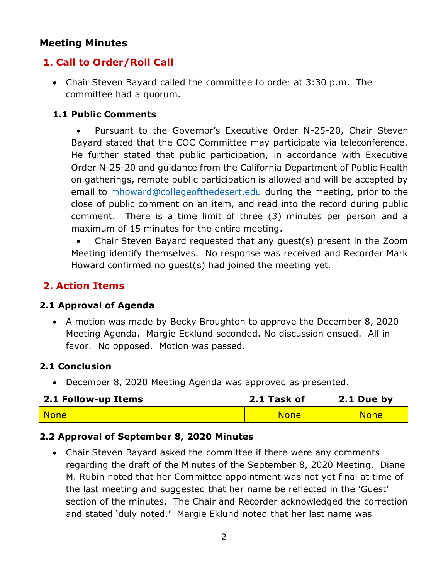# **Meeting Minutes**

# **1. Call to Order/Roll Call**

• Chair Steven Bayard called the committee to order at 3:30 p.m. The committee had a quorum.

### **1.1 Public Comments**

• Pursuant to the Governor's Executive Order N-25-20, Chair Steven Bayard stated that the COC Committee may participate via teleconference. He further stated that public participation, in accordance with Executive Order N-25-20 and guidance from the California Department of Public Health on gatherings, remote public participation is allowed and will be accepted by email to [mhoward@collegeofthedesert.edu](mailto:mhoward@collegeofthedesert.edu) during the meeting, prior to the close of public comment on an item, and read into the record during public comment. There is a time limit of three (3) minutes per person and a maximum of 15 minutes for the entire meeting.

• Chair Steven Bayard requested that any guest(s) present in the Zoom Meeting identify themselves. No response was received and Recorder Mark Howard confirmed no guest(s) had joined the meeting yet.

# **2. Action Items**

#### **2.1 Approval of Agenda**

• A motion was made by Becky Broughton to approve the December 8, 2020 Meeting Agenda. Margie Ecklund seconded. No discussion ensued. All in favor. No opposed. Motion was passed.

## **2.1 Conclusion**

• December 8, 2020 Meeting Agenda was approved as presented.

| 2.1 Follow-up Items | 2.1 Task of | 2.1 Due by  |
|---------------------|-------------|-------------|
| None                | <b>None</b> | <b>None</b> |

#### **2.2 Approval of September 8, 2020 Minutes**

• Chair Steven Bayard asked the committee if there were any comments regarding the draft of the Minutes of the September 8, 2020 Meeting. Diane M. Rubin noted that her Committee appointment was not yet final at time of the last meeting and suggested that her name be reflected in the 'Guest' section of the minutes. The Chair and Recorder acknowledged the correction and stated 'duly noted.' Margie Eklund noted that her last name was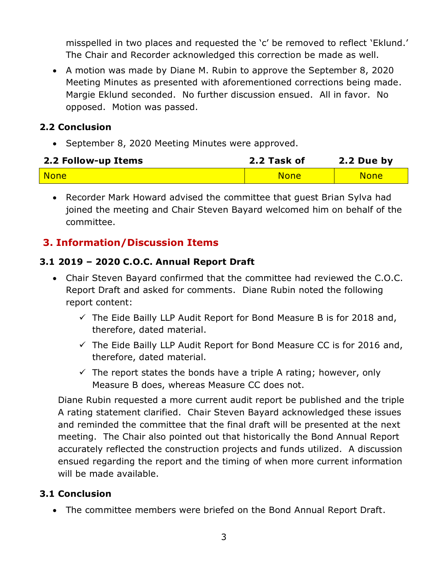misspelled in two places and requested the 'c' be removed to reflect 'Eklund.' The Chair and Recorder acknowledged this correction be made as well.

• A motion was made by Diane M. Rubin to approve the September 8, 2020 Meeting Minutes as presented with aforementioned corrections being made. Margie Eklund seconded. No further discussion ensued. All in favor. No opposed. Motion was passed.

## **2.2 Conclusion**

• September 8, 2020 Meeting Minutes were approved.

| 2.2 Follow-up Items | 2.2 Task of | 2.2 Due by  |
|---------------------|-------------|-------------|
| <b>None</b>         | <b>None</b> | <b>None</b> |

• Recorder Mark Howard advised the committee that guest Brian Sylva had joined the meeting and Chair Steven Bayard welcomed him on behalf of the committee.

# **3. Information/Discussion Items**

## **3.1 2019 – 2020 C.O.C. Annual Report Draft**

- Chair Steven Bayard confirmed that the committee had reviewed the C.O.C. Report Draft and asked for comments. Diane Rubin noted the following report content:
	- $\checkmark$  The Eide Bailly LLP Audit Report for Bond Measure B is for 2018 and, therefore, dated material.
	- $\checkmark$  The Eide Bailly LLP Audit Report for Bond Measure CC is for 2016 and, therefore, dated material.
	- $\checkmark$  The report states the bonds have a triple A rating; however, only Measure B does, whereas Measure CC does not.

Diane Rubin requested a more current audit report be published and the triple A rating statement clarified. Chair Steven Bayard acknowledged these issues and reminded the committee that the final draft will be presented at the next meeting. The Chair also pointed out that historically the Bond Annual Report accurately reflected the construction projects and funds utilized. A discussion ensued regarding the report and the timing of when more current information will be made available.

# **3.1 Conclusion**

• The committee members were briefed on the Bond Annual Report Draft.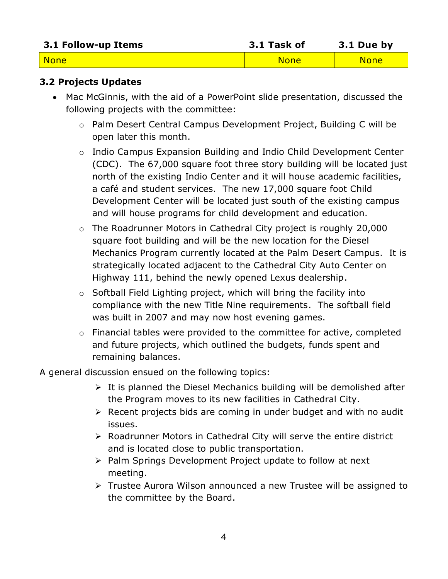| 3.1 Follow-up Items | 3.1 Task of | 3.1 Due by  |
|---------------------|-------------|-------------|
| <b>None</b>         | <b>None</b> | <b>None</b> |

### **3.2 Projects Updates**

- Mac McGinnis, with the aid of a PowerPoint slide presentation, discussed the following projects with the committee:
	- o Palm Desert Central Campus Development Project, Building C will be open later this month.
	- o Indio Campus Expansion Building and Indio Child Development Center (CDC). The 67,000 square foot three story building will be located just north of the existing Indio Center and it will house academic facilities, a café and student services. The new 17,000 square foot Child Development Center will be located just south of the existing campus and will house programs for child development and education.
	- o The Roadrunner Motors in Cathedral City project is roughly 20,000 square foot building and will be the new location for the Diesel Mechanics Program currently located at the Palm Desert Campus. It is strategically located adjacent to the Cathedral City Auto Center on Highway 111, behind the newly opened Lexus dealership.
	- o Softball Field Lighting project, which will bring the facility into compliance with the new Title Nine requirements. The softball field was built in 2007 and may now host evening games.
	- o Financial tables were provided to the committee for active, completed and future projects, which outlined the budgets, funds spent and remaining balances.

A general discussion ensued on the following topics:

- $\triangleright$  It is planned the Diesel Mechanics building will be demolished after the Program moves to its new facilities in Cathedral City.
- ➢ Recent projects bids are coming in under budget and with no audit issues.
- ➢ Roadrunner Motors in Cathedral City will serve the entire district and is located close to public transportation.
- ➢ Palm Springs Development Project update to follow at next meeting.
- ➢ Trustee Aurora Wilson announced a new Trustee will be assigned to the committee by the Board.